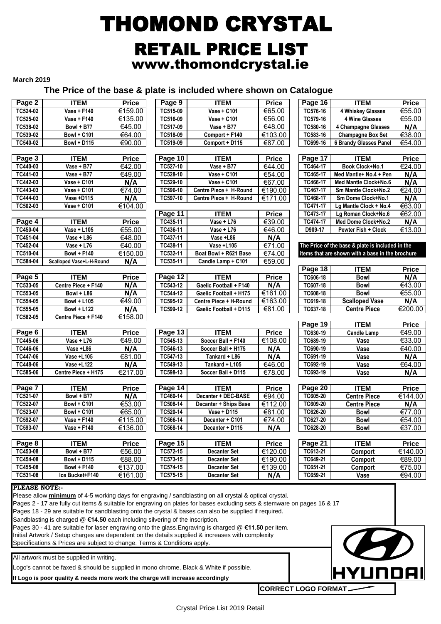# THOMOND CRYSTAL RETAIL PRICE LIST www.thomondcrystal.ie

### **March 2019**

# **The Price of the base & plate is included where shown on Catalogue**

|                                                                                                                            |                                                                                                                          |                                 |                      | <b>THE FIRE OF THE DUST &amp; PIGG IS INDIGGED MINTED</b> |                         |                             |                                                  |                        |
|----------------------------------------------------------------------------------------------------------------------------|--------------------------------------------------------------------------------------------------------------------------|---------------------------------|----------------------|-----------------------------------------------------------|-------------------------|-----------------------------|--------------------------------------------------|------------------------|
| Page 2                                                                                                                     | <b>ITEM</b>                                                                                                              | <b>Price</b>                    | Page 9               | <b>ITEM</b>                                               | <b>Price</b>            | Page 16                     | <b>ITEM</b>                                      | <b>Price</b>           |
| TC524-02                                                                                                                   | Vase + F140                                                                                                              | €159.00                         | TC515-09             | Vase + C101                                               | €65.00                  | TC576-16                    | 4 Whiskey Glasses                                | €55.00                 |
| TC525-02                                                                                                                   | Vase + F140                                                                                                              | €135.00                         | TC516-09             | Vase + C101                                               | €56.00                  | TC579-16                    | 4 Wine Glasses                                   | €55.00                 |
| TC538-02                                                                                                                   | Bowl + B77                                                                                                               | €45.00                          | TC517-09             | Vase + B77                                                | €48.00                  | TC580-16                    | 4 Champagne Glasses                              | N/A                    |
| TC539-02                                                                                                                   | <b>Bowl + C101</b>                                                                                                       | €64.00                          | TC518-09             | Comport + F140                                            | €103.00                 | TC583-16                    | <b>Champagne Box Set</b>                         | €38.00                 |
| TC540-02                                                                                                                   | <b>Bowl + D115</b>                                                                                                       | €90.00                          | TC519-09             | Comport + D115                                            | €87.00                  | TC699-16                    | <b>6 Brandy Glasses Panel</b>                    | €54.00                 |
|                                                                                                                            |                                                                                                                          |                                 |                      |                                                           |                         |                             |                                                  |                        |
| Page 3                                                                                                                     | <b>ITEM</b>                                                                                                              | <b>Price</b>                    | Page 10              | <b>ITEM</b>                                               | <b>Price</b>            | Page 17                     | <b>ITEM</b>                                      | <b>Price</b>           |
| TC440-03                                                                                                                   | Vase + B77                                                                                                               | €42.00                          | TC527-10             | Vase + B77                                                | €44.00                  | TC464-17                    | <b>Book Clock+No.1</b>                           | €24.00                 |
| TC441-03                                                                                                                   | Vase + B77<br>Vase + C101                                                                                                | €49.00                          | TC528-10             | Vase + C101<br>Vase + C101                                | €54.00                  | TC465-17<br>TC466-17        | Med Mantle+ No.4 + Pen                           | N/A                    |
| TC442-03<br>TC443-03                                                                                                       | Vase + C101                                                                                                              | N/A<br>€74.00                   | TC529-10<br>TC596-10 | Centre Piece + H-Round                                    | €67.00<br>€190.00       | TC467-17                    | Med Mantle Clock+No.6<br>Sm Mantle Clock+No.2    | N/A<br>€24.00          |
| TC444-03                                                                                                                   | Vase +D115                                                                                                               | N/A                             | TC597-10             | Centre Piece + H-Round                                    | €171.00                 | TC468-17                    | Sm Dome Clock+No.1                               | N/A                    |
| TC502-03                                                                                                                   | Vase + C101                                                                                                              | €104.00                         |                      |                                                           |                         | TC471-17                    | Lg Mantle Clock + No.4                           | €63.00                 |
|                                                                                                                            |                                                                                                                          |                                 | Page 11              | <b>ITEM</b>                                               | <b>Price</b>            | TC473-17                    | Lg Roman Clock+No.6                              | €62.00                 |
| Page 4                                                                                                                     | <b>ITEM</b>                                                                                                              | <b>Price</b>                    | TC435-11             | Vase + L76                                                | €39.00                  | TC474-17                    | Med Dome Clock+No.2                              | N/A                    |
| TC450-04                                                                                                                   | Vase + L105                                                                                                              | €55.00                          | TC436-11             | Vase + L76                                                | €46.00                  | D909-17                     | Pewter Fish + Clock                              | €13.00                 |
| TC451-04                                                                                                                   | Vase + L86                                                                                                               | €48.00                          | TC437-11             | Vase +L86                                                 | N/A                     |                             |                                                  |                        |
| TC452-04                                                                                                                   | Vase + $L76$                                                                                                             | €40.00                          | TC438-11             | Vase +L105                                                | €71.00                  |                             | The Price of the base & plate is included in the |                        |
| TC510-04                                                                                                                   | <b>Bowl + F140</b>                                                                                                       | €150.00                         | TC532-11             | Boat Bowl + R621 Base                                     | €74.00                  |                             | items that are shown with a base in the brochure |                        |
| TC584-04                                                                                                                   | Scalloped Vase+L-H-Round                                                                                                 | N/A                             | TC535-11             | Candle Lamp + C101                                        | €59.00                  |                             |                                                  |                        |
|                                                                                                                            |                                                                                                                          |                                 |                      |                                                           |                         | Page 18                     | <b>ITEM</b>                                      | <b>Price</b>           |
| Page 5                                                                                                                     | <b>ITEM</b>                                                                                                              | <b>Price</b>                    | Page 12              | <b>ITEM</b>                                               | <b>Price</b>            | TC606-18                    | <b>Bowl</b>                                      | N/A                    |
| TC533-05                                                                                                                   | Centre Piece + F140                                                                                                      | N/A                             | TC543-12             | Gaelic Football + F140                                    | N/A                     | TC607-18                    | <b>Bowl</b>                                      | €43.00                 |
| TC553-05                                                                                                                   | Bowl + L86                                                                                                               | N/A                             | TC544-12             | Gaelic Football + H175                                    | €161.00                 | TC608-18                    | <b>Bowl</b>                                      | € $55.00$              |
| TC554-05                                                                                                                   | <b>Bowl + L105</b>                                                                                                       | €49.00                          | TC595-12             | Centre Piece + H-Round                                    | €163.00                 | TC619-18                    | <b>Scalloped Vase</b>                            | N/A                    |
| TC555-05                                                                                                                   | <b>Bowl + L122</b>                                                                                                       | N/A                             | TC599-12             | Gaelic Football + D115                                    | €81.00                  | TC637-18                    | <b>Centre Piece</b>                              | €200.00                |
| TC582-05                                                                                                                   | Centre Piece + F140                                                                                                      | €158.00                         |                      |                                                           |                         |                             |                                                  |                        |
|                                                                                                                            | <b>ITEM</b>                                                                                                              | <b>Price</b>                    |                      | <b>ITEM</b>                                               |                         | Page 19<br>TC630-19         | <b>ITEM</b><br><b>Candle Lamp</b>                | <b>Price</b><br>€49.00 |
| Page 6<br>TC445-06                                                                                                         | Vase + L76                                                                                                               | €49.00                          | Page 13<br>TC545-13  | Soccer Ball + F140                                        | <b>Price</b><br>€108.00 | TC689-19                    | Vase                                             | €33.00                 |
| TC446-06                                                                                                                   | Vase +L86                                                                                                                | N/A                             | TC546-13             | Soccer Ball + H175                                        | N/A                     | TC690-19                    | Vase                                             | €40.00                 |
| TC447-06                                                                                                                   | Vase +L105                                                                                                               | $\overline{€}81.00$             | TC547-13             | Tankard + L86                                             | N/A                     | TC691-19                    | Vase                                             | N/A                    |
| TC448-06                                                                                                                   | Vase +L122                                                                                                               | N/A                             | TC549-13             | Tankard + L105                                            | €46.00                  | TC692-19                    | Vase                                             | €64.00                 |
| TC585-06                                                                                                                   | Centre Piece + H175                                                                                                      | €217.00                         | TC598-13             | Soccer Ball + D115                                        | €78.00                  | TC693-19                    | Vase                                             | N/A                    |
|                                                                                                                            |                                                                                                                          |                                 |                      |                                                           |                         |                             |                                                  |                        |
| Page 7                                                                                                                     | <b>ITEM</b>                                                                                                              | <b>Price</b>                    | Page 14              | <b>ITEM</b>                                               | <b>Price</b>            | Page 20                     | <b>ITEM</b>                                      | <b>Price</b>           |
| TC521-07                                                                                                                   | Bowl + B77                                                                                                               | $\overline{N/A}$                | TC460-14             | Decanter + DEC-BASE                                       | €94.00                  | TC605-20                    | <b>Centre Piece</b>                              | €144.00                |
| TC522-07                                                                                                                   | <b>Bowl + C101</b>                                                                                                       | €53.00                          | TC508-14             | Decanter + Ships Base                                     | €112.00                 | TC609-20                    | <b>Centre Piece</b>                              | N/A                    |
| TC523-07                                                                                                                   | <b>Bowl + C101</b>                                                                                                       | €65.00                          | TC520-14             | Vase + D115                                               | €81.00                  | TC626-20                    | Bowl                                             | €77.00                 |
| TC592-07                                                                                                                   | Vase + F140                                                                                                              | €115.00                         | TC566-14             | Decanter + C101                                           | €74.00                  | TC627-20                    | <b>Bowl</b>                                      | €54.00                 |
| TC593-07                                                                                                                   | <b>Vase + F140</b>                                                                                                       | €136.00                         | TC568-14             | Decanter + D115                                           | N/A                     | TC628-20                    | <b>Bowl</b>                                      | €37.00                 |
|                                                                                                                            |                                                                                                                          |                                 |                      |                                                           |                         |                             |                                                  |                        |
| Page 8                                                                                                                     | <b>ITEM</b>                                                                                                              | <b>Price</b>                    | Page 15              | <b>ITEM</b>                                               | <b>Price</b>            | Page 21                     | <b>ITEM</b>                                      | <b>Price</b>           |
| TC453-08                                                                                                                   | Bowl + B77                                                                                                               | €56.00                          | TC572-15             | <b>Decanter Set</b>                                       | €120.00                 | TC613-21                    | Comport                                          | €140.00                |
| TC454-08                                                                                                                   | <b>Bowl + D115</b>                                                                                                       | €88.00                          | TC573-15             | <b>Decanter Set</b>                                       | €190.00                 | TC649-21                    | Comport                                          | €89.00                 |
| TC455-08<br>TC531-08                                                                                                       | <b>Bowl + F140</b><br>Ice Bucket+F140                                                                                    | €137.00<br>$\overline{€}161.00$ | TC574-15<br>TC575-15 | Decanter Set<br><b>Decanter Set</b>                       | €139.00<br>N/A          | TC651-21<br>TC659-21        | Comport<br>Vase                                  | €75.00<br>€94.00       |
|                                                                                                                            |                                                                                                                          |                                 |                      |                                                           |                         |                             |                                                  |                        |
| <b>PLEASE NOTE:-</b>                                                                                                       |                                                                                                                          |                                 |                      |                                                           |                         |                             |                                                  |                        |
|                                                                                                                            | Please allow minimum of 4-5 working days for engraving / sandblasting on all crystal & optical crystal.                  |                                 |                      |                                                           |                         |                             |                                                  |                        |
|                                                                                                                            | Pages 2 - 17 are fully cut items & suitable for engraving on plates for bases excluding sets & stemware on pages 16 & 17 |                                 |                      |                                                           |                         |                             |                                                  |                        |
|                                                                                                                            | Pages 18 - 29 are suitable for sandblasting onto the crystal & bases can also be supplied if required.                   |                                 |                      |                                                           |                         |                             |                                                  |                        |
| Sandblasting is charged @ €14.50 each including silvering of the inscription.                                              |                                                                                                                          |                                 |                      |                                                           |                         |                             |                                                  |                        |
| Pages 30 - 41 are suitable for laser engraving onto the glass. Engraving is charged @ €11.50 per item.                     |                                                                                                                          |                                 |                      |                                                           |                         |                             |                                                  |                        |
| Initial Artwork / Setup charges are dependent on the details supplied & increases with complexity<br>$\boldsymbol{\omega}$ |                                                                                                                          |                                 |                      |                                                           |                         |                             |                                                  |                        |
| Specifications & Prices are subject to change. Terms & Conditions apply.                                                   |                                                                                                                          |                                 |                      |                                                           |                         |                             |                                                  |                        |
|                                                                                                                            | All artwork must be supplied in writing.                                                                                 |                                 |                      |                                                           |                         |                             |                                                  |                        |
| Logo's cannot be faxed & should be supplied in mono chrome, Black & White if possible.                                     |                                                                                                                          |                                 |                      |                                                           |                         |                             |                                                  |                        |
|                                                                                                                            |                                                                                                                          |                                 |                      |                                                           |                         |                             | <b>HYUNDAI</b>                                   |                        |
|                                                                                                                            | If Logo is poor quality & needs more work the charge will increase accordingly                                           |                                 |                      |                                                           |                         |                             |                                                  |                        |
|                                                                                                                            |                                                                                                                          |                                 |                      |                                                           |                         | <b>CORRECT LOGO FORMAT.</b> |                                                  |                        |
|                                                                                                                            |                                                                                                                          |                                 |                      |                                                           |                         |                             |                                                  |                        |